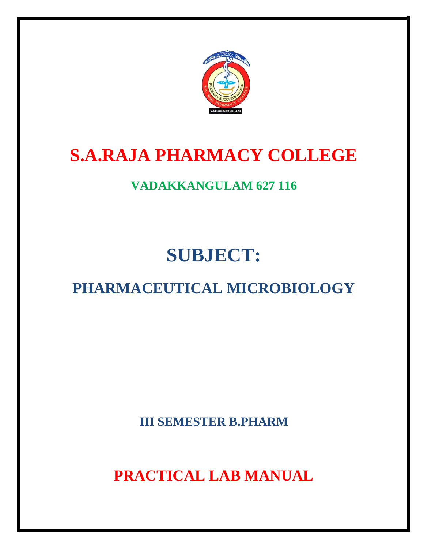

# **S.A.RAJA PHARMACY COLLEGE**

### **VADAKKANGULAM 627 116**

# **SUBJECT:**

## **PHARMACEUTICAL MICROBIOLOGY**

**III SEMESTER B.PHARM**

**PRACTICAL LAB MANUAL**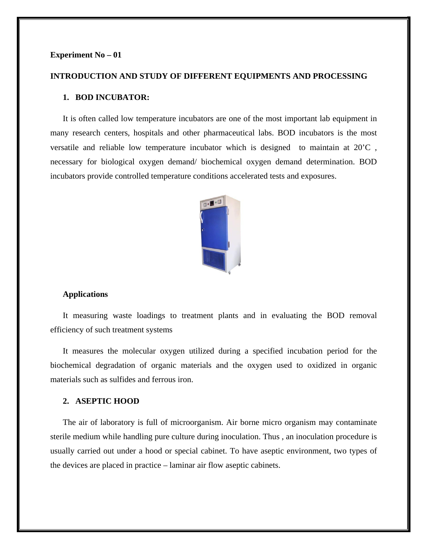#### **Experiment No – 01**

#### **INTRODUCTION AND STUDY OF DIFFERENT EQUIPMENTS AND PROCESSING**

#### **1. BOD INCUBATOR:**

It is often called low temperature incubators are one of the most important lab equipment in many research centers, hospitals and other pharmaceutical labs. BOD incubators is the most versatile and reliable low temperature incubator which is designed to maintain at 20'C , necessary for biological oxygen demand/ biochemical oxygen demand determination. BOD incubators provide controlled temperature conditions accelerated tests and exposures.



#### **Applications**

It measuring waste loadings to treatment plants and in evaluating the BOD removal efficiency of such treatment systems

It measures the molecular oxygen utilized during a specified incubation period for the biochemical degradation of organic materials and the oxygen used to oxidized in organic materials such as sulfides and ferrous iron.

#### **2. ASEPTIC HOOD**

The air of laboratory is full of microorganism. Air borne micro organism may contaminate sterile medium while handling pure culture during inoculation. Thus , an inoculation procedure is usually carried out under a hood or special cabinet. To have aseptic environment, two types of the devices are placed in practice – laminar air flow aseptic cabinets.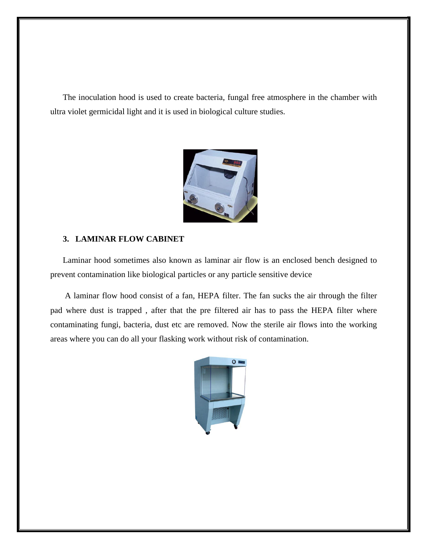The inoculation hood is used to create bacteria, fungal free atmosphere in the chamber with ultra violet germicidal light and it is used in biological culture studies.



#### **3. LAMINAR FLOW CABINET**

Laminar hood sometimes also known as laminar air flow is an enclosed bench designed to prevent contamination like biological particles or any particle sensitive device

A laminar flow hood consist of a fan, HEPA filter. The fan sucks the air through the filter pad where dust is trapped , after that the pre filtered air has to pass the HEPA filter where contaminating fungi, bacteria, dust etc are removed. Now the sterile air flows into the working areas where you can do all your flasking work without risk of contamination.

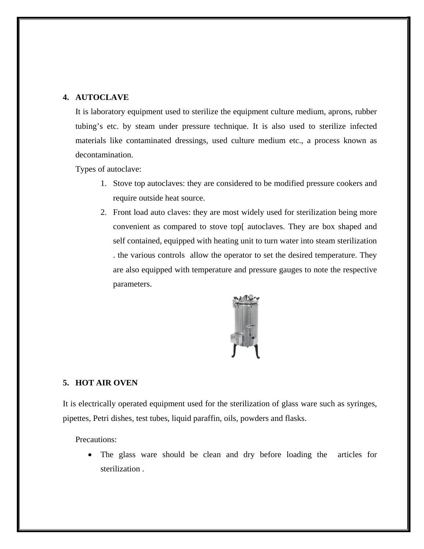#### **4. AUTOCLAVE**

It is laboratory equipment used to sterilize the equipment culture medium, aprons, rubber tubing's etc. by steam under pressure technique. It is also used to sterilize infected materials like contaminated dressings, used culture medium etc., a process known as decontamination.

Types of autoclave:

- 1. Stove top autoclaves: they are considered to be modified pressure cookers and require outside heat source.
- 2. Front load auto claves: they are most widely used for sterilization being more convenient as compared to stove top[ autoclaves. They are box shaped and self contained, equipped with heating unit to turn water into steam sterilization . the various controls allow the operator to set the desired temperature. They are also equipped with temperature and pressure gauges to note the respective parameters.



#### **5. HOT AIR OVEN**

It is electrically operated equipment used for the sterilization of glass ware such as syringes, pipettes, Petri dishes, test tubes, liquid paraffin, oils, powders and flasks.

Precautions:

• The glass ware should be clean and dry before loading the articles for sterilization .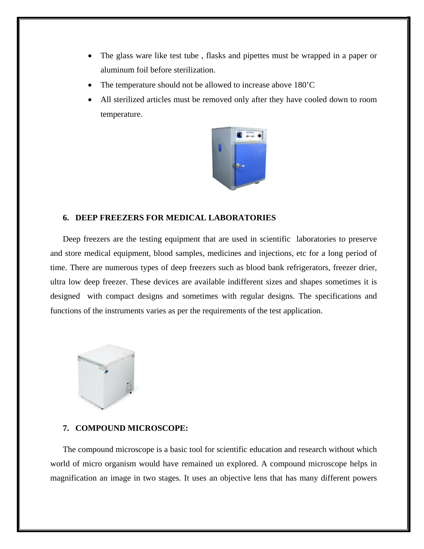- The glass ware like test tube, flasks and pipettes must be wrapped in a paper or aluminum foil before sterilization.
- The temperature should not be allowed to increase above 180<sup>'</sup>C
- All sterilized articles must be removed only after they have cooled down to room temperature.



#### **6. DEEP FREEZERS FOR MEDICAL LABORATORIES**

Deep freezers are the testing equipment that are used in scientific laboratories to preserve and store medical equipment, blood samples, medicines and injections, etc for a long period of time. There are numerous types of deep freezers such as blood bank refrigerators, freezer drier, ultra low deep freezer. These devices are available indifferent sizes and shapes sometimes it is designed with compact designs and sometimes with regular designs. The specifications and functions of the instruments varies as per the requirements of the test application.



#### **7. COMPOUND MICROSCOPE:**

The compound microscope is a basic tool for scientific education and research without which world of micro organism would have remained un explored. A compound microscope helps in magnification an image in two stages. It uses an objective lens that has many different powers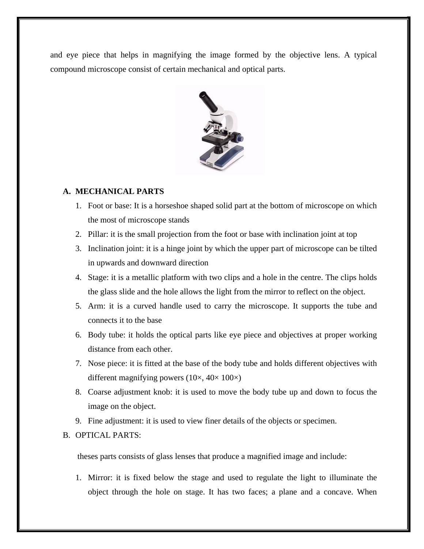and eye piece that helps in magnifying the image formed by the objective lens. A typical compound microscope consist of certain mechanical and optical parts.



#### **A. MECHANICAL PARTS**

- 1. Foot or base: It is a horseshoe shaped solid part at the bottom of microscope on which the most of microscope stands
- 2. Pillar: it is the small projection from the foot or base with inclination joint at top
- 3. Inclination joint: it is a hinge joint by which the upper part of microscope can be tilted in upwards and downward direction
- 4. Stage: it is a metallic platform with two clips and a hole in the centre. The clips holds the glass slide and the hole allows the light from the mirror to reflect on the object.
- 5. Arm: it is a curved handle used to carry the microscope. It supports the tube and connects it to the base
- 6. Body tube: it holds the optical parts like eye piece and objectives at proper working distance from each other.
- 7. Nose piece: it is fitted at the base of the body tube and holds different objectives with different magnifying powers  $(10\times, 40\times, 100\times)$
- 8. Coarse adjustment knob: it is used to move the body tube up and down to focus the image on the object.
- 9. Fine adjustment: it is used to view finer details of the objects or specimen.

#### B. OPTICAL PARTS:

theses parts consists of glass lenses that produce a magnified image and include:

1. Mirror: it is fixed below the stage and used to regulate the light to illuminate the object through the hole on stage. It has two faces; a plane and a concave. When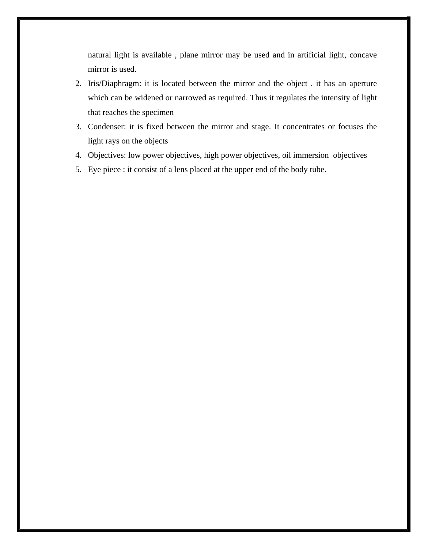natural light is available , plane mirror may be used and in artificial light, concave mirror is used.

- 2. Iris/Diaphragm: it is located between the mirror and the object . it has an aperture which can be widened or narrowed as required. Thus it regulates the intensity of light that reaches the specimen
- 3. Condenser: it is fixed between the mirror and stage. It concentrates or focuses the light rays on the objects
- 4. Objectives: low power objectives, high power objectives, oil immersion objectives
- 5. Eye piece : it consist of a lens placed at the upper end of the body tube.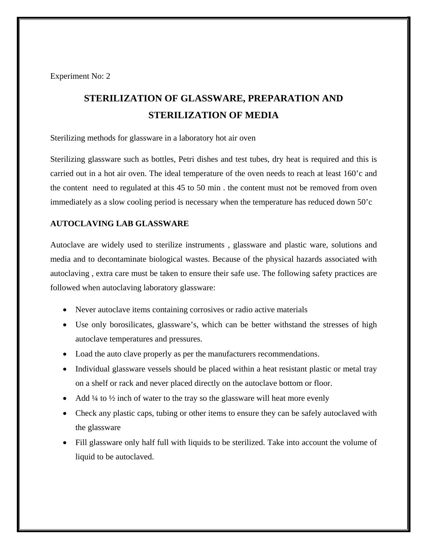Experiment No: 2

### **STERILIZATION OF GLASSWARE, PREPARATION AND STERILIZATION OF MEDIA**

Sterilizing methods for glassware in a laboratory hot air oven

Sterilizing glassware such as bottles, Petri dishes and test tubes, dry heat is required and this is carried out in a hot air oven. The ideal temperature of the oven needs to reach at least 160'c and the content need to regulated at this 45 to 50 min . the content must not be removed from oven immediately as a slow cooling period is necessary when the temperature has reduced down 50'c

#### **AUTOCLAVING LAB GLASSWARE**

Autoclave are widely used to sterilize instruments , glassware and plastic ware, solutions and media and to decontaminate biological wastes. Because of the physical hazards associated with autoclaving , extra care must be taken to ensure their safe use. The following safety practices are followed when autoclaving laboratory glassware:

- Never autoclave items containing corrosives or radio active materials
- Use only borosilicates, glassware's, which can be better withstand the stresses of high autoclave temperatures and pressures.
- Load the auto clave properly as per the manufacturers recommendations.
- Individual glassware vessels should be placed within a heat resistant plastic or metal tray on a shelf or rack and never placed directly on the autoclave bottom or floor.
- Add  $\frac{1}{4}$  to  $\frac{1}{2}$  inch of water to the tray so the glassware will heat more evenly
- Check any plastic caps, tubing or other items to ensure they can be safely autoclaved with the glassware
- Fill glassware only half full with liquids to be sterilized. Take into account the volume of liquid to be autoclaved.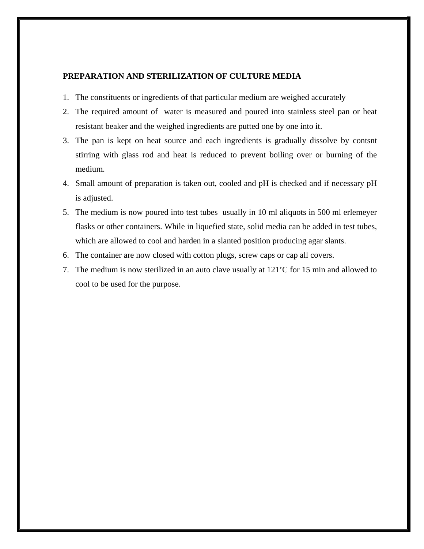#### **PREPARATION AND STERILIZATION OF CULTURE MEDIA**

- 1. The constituents or ingredients of that particular medium are weighed accurately
- 2. The required amount of water is measured and poured into stainless steel pan or heat resistant beaker and the weighed ingredients are putted one by one into it.
- 3. The pan is kept on heat source and each ingredients is gradually dissolve by contsnt stirring with glass rod and heat is reduced to prevent boiling over or burning of the medium.
- 4. Small amount of preparation is taken out, cooled and pH is checked and if necessary pH is adjusted.
- 5. The medium is now poured into test tubes usually in 10 ml aliquots in 500 ml erlemeyer flasks or other containers. While in liquefied state, solid media can be added in test tubes, which are allowed to cool and harden in a slanted position producing agar slants.
- 6. The container are now closed with cotton plugs, screw caps or cap all covers.
- 7. The medium is now sterilized in an auto clave usually at 121'C for 15 min and allowed to cool to be used for the purpose.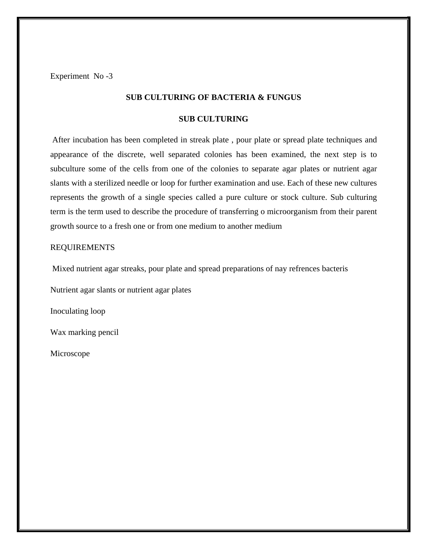Experiment No -3

#### **SUB CULTURING OF BACTERIA & FUNGUS**

#### **SUB CULTURING**

After incubation has been completed in streak plate, pour plate or spread plate techniques and appearance of the discrete, well separated colonies has been examined, the next step is to subculture some of the cells from one of the colonies to separate agar plates or nutrient agar slants with a sterilized needle or loop for further examination and use. Each of these new cultures represents the growth of a single species called a pure culture or stock culture. Sub culturing term is the term used to describe the procedure of transferring o microorganism from their parent growth source to a fresh one or from one medium to another medium

#### REQUIREMENTS

Mixed nutrient agar streaks, pour plate and spread preparations of nay refrences bacteris

Nutrient agar slants or nutrient agar plates

Inoculating loop

Wax marking pencil

Microscope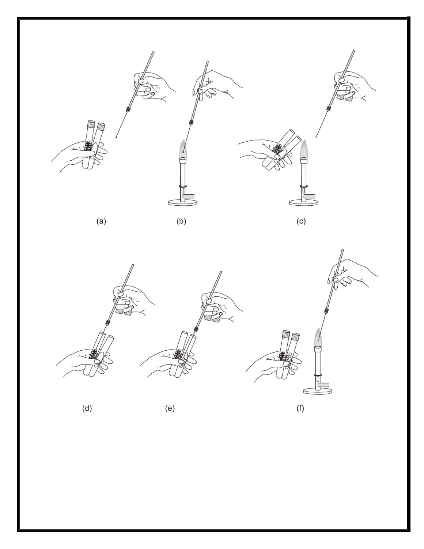

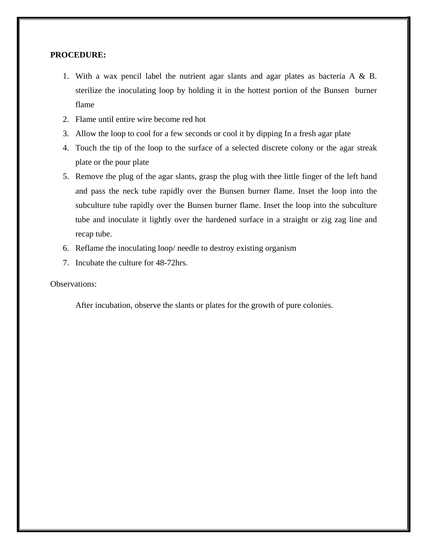#### **PROCEDURE:**

- 1. With a wax pencil label the nutrient agar slants and agar plates as bacteria A & B. sterilize the inoculating loop by holding it in the hottest portion of the Bunsen burner flame
- 2. Flame until entire wire become red hot
- 3. Allow the loop to cool for a few seconds or cool it by dipping In a fresh agar plate
- 4. Touch the tip of the loop to the surface of a selected discrete colony or the agar streak plate or the pour plate
- 5. Remove the plug of the agar slants, grasp the plug with thee little finger of the left hand and pass the neck tube rapidly over the Bunsen burner flame. Inset the loop into the subculture tube rapidly over the Bunsen burner flame. Inset the loop into the subculture tube and inoculate it lightly over the hardened surface in a straight or zig zag line and recap tube.
- 6. Reflame the inoculating loop/ needle to destroy existing organism
- 7. Incubate the culture for 48-72hrs.

#### Observations:

After incubation, observe the slants or plates for the growth of pure colonies.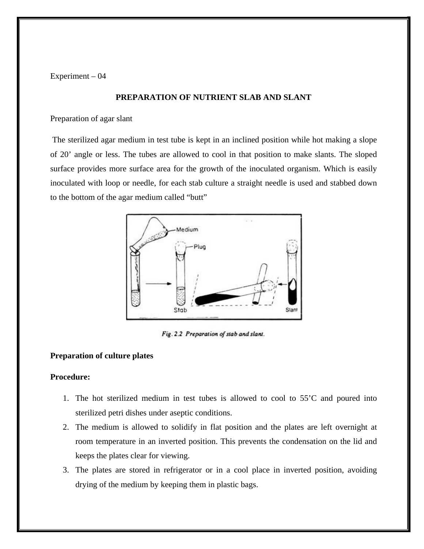Experiment – 04

#### **PREPARATION OF NUTRIENT SLAB AND SLANT**

Preparation of agar slant

The sterilized agar medium in test tube is kept in an inclined position while hot making a slope of 20' angle or less. The tubes are allowed to cool in that position to make slants. The sloped surface provides more surface area for the growth of the inoculated organism. Which is easily inoculated with loop or needle, for each stab culture a straight needle is used and stabbed down to the bottom of the agar medium called "butt"



Fig. 2.2 Preparation of stab and slant.

#### **Preparation of culture plates**

#### **Procedure:**

- 1. The hot sterilized medium in test tubes is allowed to cool to 55'C and poured into sterilized petri dishes under aseptic conditions.
- 2. The medium is allowed to solidify in flat position and the plates are left overnight at room temperature in an inverted position. This prevents the condensation on the lid and keeps the plates clear for viewing.
- 3. The plates are stored in refrigerator or in a cool place in inverted position, avoiding drying of the medium by keeping them in plastic bags.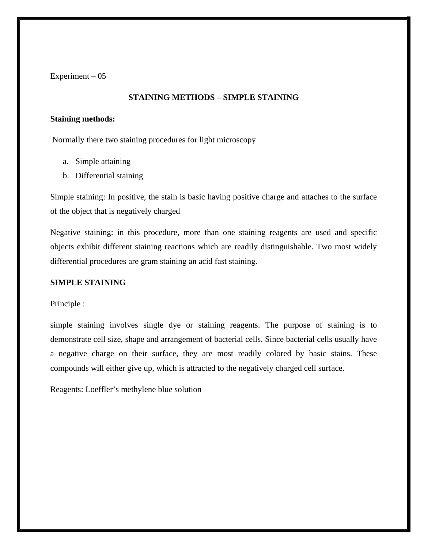Experiment  $-05$ 

#### **STAINING METHODS – SIMPLE STAINING**

#### **Staining methods:**

Normally there two staining procedures for light microscopy

- a. Simple attaining
- b. Differential staining

Simple staining: In positive, the stain is basic having positive charge and attaches to the surface of the object that is negatively charged

Negative staining: in this procedure, more than one staining reagents are used and specific objects exhibit different staining reactions which are readily distinguishable. Two most widely differential procedures are gram staining an acid fast staining.

#### **SIMPLE STAINING**

#### Principle :

simple staining involves single dye or staining reagents. The purpose of staining is to demonstrate cell size, shape and arrangement of bacterial cells. Since bacterial cells usually have a negative charge on their surface, they are most readily colored by basic stains. These compounds will either give up, which is attracted to the negatively charged cell surface.

Reagents: Loeffler's methylene blue solution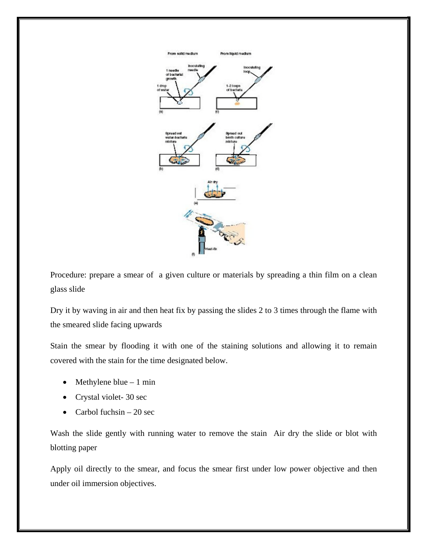

Procedure: prepare a smear of a given culture or materials by spreading a thin film on a clean glass slide

Dry it by waving in air and then heat fix by passing the slides 2 to 3 times through the flame with the smeared slide facing upwards

Stain the smear by flooding it with one of the staining solutions and allowing it to remain covered with the stain for the time designated below.

- Methylene blue  $-1$  min
- Crystal violet-30 sec
- Carbol fuchsin 20 sec

Wash the slide gently with running water to remove the stain Air dry the slide or blot with blotting paper

Apply oil directly to the smear, and focus the smear first under low power objective and then under oil immersion objectives.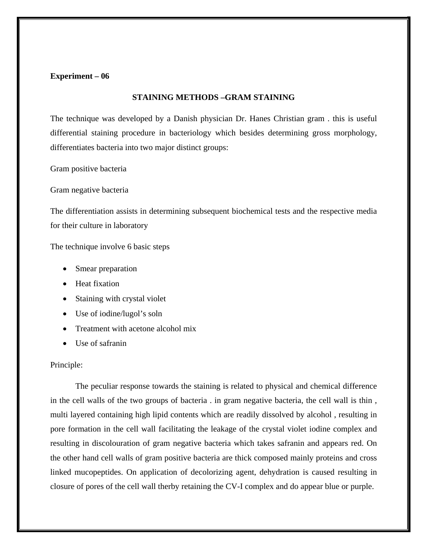#### **Experiment – 06**

#### **STAINING METHODS –GRAM STAINING**

The technique was developed by a Danish physician Dr. Hanes Christian gram . this is useful differential staining procedure in bacteriology which besides determining gross morphology, differentiates bacteria into two major distinct groups:

Gram positive bacteria

Gram negative bacteria

The differentiation assists in determining subsequent biochemical tests and the respective media for their culture in laboratory

The technique involve 6 basic steps

- Smear preparation
- Heat fixation
- Staining with crystal violet
- Use of iodine/lugol's soln
- Treatment with acetone alcohol mix
- Use of safranin

#### Principle:

The peculiar response towards the staining is related to physical and chemical difference in the cell walls of the two groups of bacteria . in gram negative bacteria, the cell wall is thin , multi layered containing high lipid contents which are readily dissolved by alcohol , resulting in pore formation in the cell wall facilitating the leakage of the crystal violet iodine complex and resulting in discolouration of gram negative bacteria which takes safranin and appears red. On the other hand cell walls of gram positive bacteria are thick composed mainly proteins and cross linked mucopeptides. On application of decolorizing agent, dehydration is caused resulting in closure of pores of the cell wall therby retaining the CV-I complex and do appear blue or purple.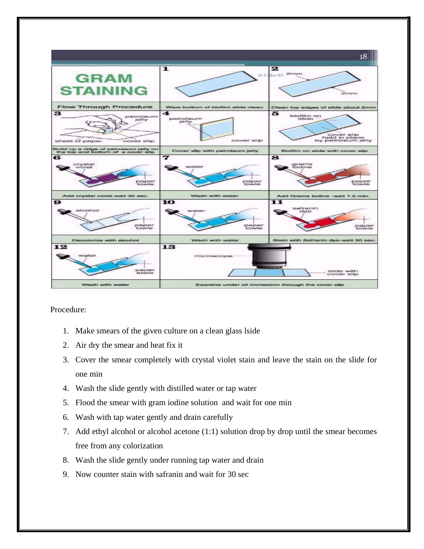

Procedure:

- 1. Make smears of the given culture on a clean glass lside
- 2. Air dry the smear and heat fix it
- 3. Cover the smear completely with crystal violet stain and leave the stain on the slide for one min
- 4. Wash the slide gently with distilled water or tap water
- 5. Flood the smear with gram iodine solution and wait for one min
- 6. Wash with tap water gently and drain carefully
- 7. Add ethyl alcohol or alcohol acetone (1:1) solution drop by drop until the smear becomes free from any colorization
- 8. Wash the slide gently under running tap water and drain
- 9. Now counter stain with safranin and wait for 30 sec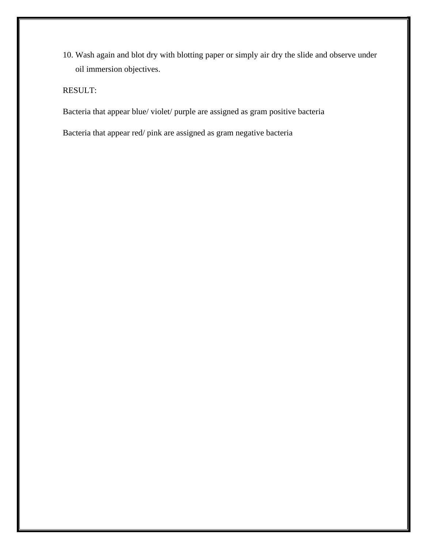10. Wash again and blot dry with blotting paper or simply air dry the slide and observe under oil immersion objectives.

RESULT:

Bacteria that appear blue/ violet/ purple are assigned as gram positive bacteria

Bacteria that appear red/ pink are assigned as gram negative bacteria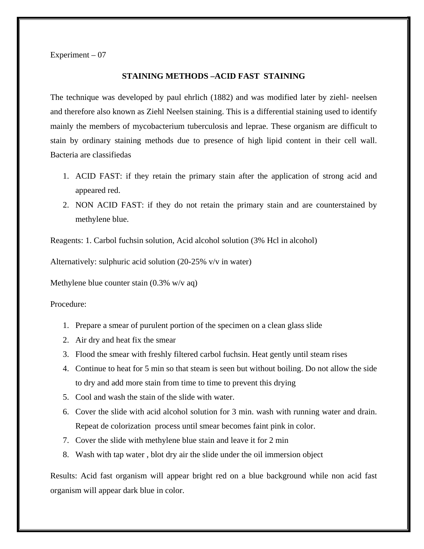Experiment  $-07$ 

#### **STAINING METHODS –ACID FAST STAINING**

The technique was developed by paul ehrlich (1882) and was modified later by ziehl- neelsen and therefore also known as Ziehl Neelsen staining. This is a differential staining used to identify mainly the members of mycobacterium tuberculosis and leprae. These organism are difficult to stain by ordinary staining methods due to presence of high lipid content in their cell wall. Bacteria are classifiedas

- 1. ACID FAST: if they retain the primary stain after the application of strong acid and appeared red.
- 2. NON ACID FAST: if they do not retain the primary stain and are counterstained by methylene blue.

Reagents: 1. Carbol fuchsin solution, Acid alcohol solution (3% Hcl in alcohol)

Alternatively: sulphuric acid solution (20-25% v/v in water)

Methylene blue counter stain (0.3% w/v aq)

Procedure:

- 1. Prepare a smear of purulent portion of the specimen on a clean glass slide
- 2. Air dry and heat fix the smear
- 3. Flood the smear with freshly filtered carbol fuchsin. Heat gently until steam rises
- 4. Continue to heat for 5 min so that steam is seen but without boiling. Do not allow the side to dry and add more stain from time to time to prevent this drying
- 5. Cool and wash the stain of the slide with water.
- 6. Cover the slide with acid alcohol solution for 3 min. wash with running water and drain. Repeat de colorization process until smear becomes faint pink in color.
- 7. Cover the slide with methylene blue stain and leave it for 2 min
- 8. Wash with tap water , blot dry air the slide under the oil immersion object

Results: Acid fast organism will appear bright red on a blue background while non acid fast organism will appear dark blue in color.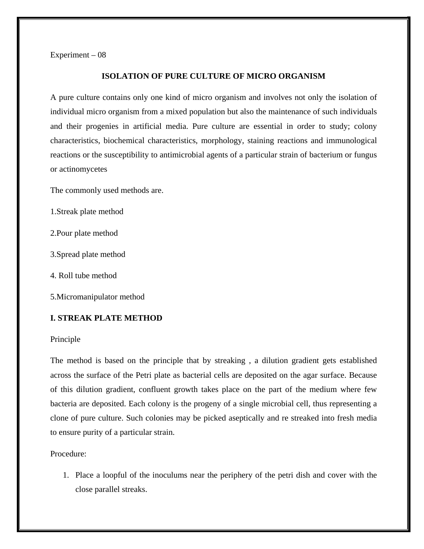Experiment – 08

#### **ISOLATION OF PURE CULTURE OF MICRO ORGANISM**

A pure culture contains only one kind of micro organism and involves not only the isolation of individual micro organism from a mixed population but also the maintenance of such individuals and their progenies in artificial media. Pure culture are essential in order to study; colony characteristics, biochemical characteristics, morphology, staining reactions and immunological reactions or the susceptibility to antimicrobial agents of a particular strain of bacterium or fungus or actinomycetes

The commonly used methods are.

1.Streak plate method

2.Pour plate method

3.Spread plate method

4. Roll tube method

5.Micromanipulator method

#### **I. STREAK PLATE METHOD**

#### Principle

The method is based on the principle that by streaking , a dilution gradient gets established across the surface of the Petri plate as bacterial cells are deposited on the agar surface. Because of this dilution gradient, confluent growth takes place on the part of the medium where few bacteria are deposited. Each colony is the progeny of a single microbial cell, thus representing a clone of pure culture. Such colonies may be picked aseptically and re streaked into fresh media to ensure purity of a particular strain.

Procedure:

1. Place a loopful of the inoculums near the periphery of the petri dish and cover with the close parallel streaks.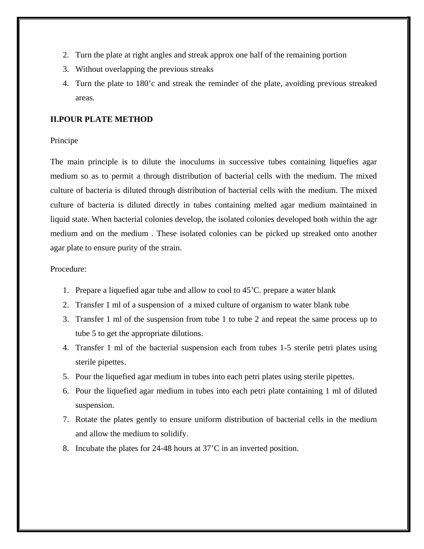- 2. Turn the plate at right angles and streak approx one half of the remaining portion
- 3. Without overlapping the previous streaks
- 4. Turn the plate to 180'c and streak the reminder of the plate, avoiding previous streaked areas.

#### **II.POUR PLATE METHOD**

#### Principe

The main principle is to dilute the inoculums in successive tubes containing liquefies agar medium so as to permit a through distribution of bacterial cells with the medium. The mixed culture of bacteria is diluted through distribution of bacterial cells with the medium. The mixed culture of bacteria is diluted directly in tubes containing melted agar medium maintained in liquid state. When bacterial colonies develop, the isolated colonies developed both within the agr medium and on the medium . These isolated colonies can be picked up streaked onto another agar plate to ensure purity of the strain.

#### Procedure:

- 1. Prepare a liquefied agar tube and allow to cool to 45'C. prepare a water blank
- 2. Transfer 1 ml of a suspension of a mixed culture of organism to water blank tube
- 3. Transfer 1 ml of the suspension from tube 1 to tube 2 and repeat the same process up to tube 5 to get the appropriate dilutions.
- 4. Transfer 1 ml of the bacterial suspension each from tubes 1-5 sterile petri plates using sterile pipettes.
- 5. Pour the liquefied agar medium in tubes into each petri plates using sterile pipettes.
- 6. Pour the liquefied agar medium in tubes into each petri plate containing 1 ml of diluted suspension.
- 7. Rotate the plates gently to ensure uniform distribution of bacterial cells in the medium and allow the medium to solidify.
- 8. Incubate the plates for 24-48 hours at 37'C in an inverted position.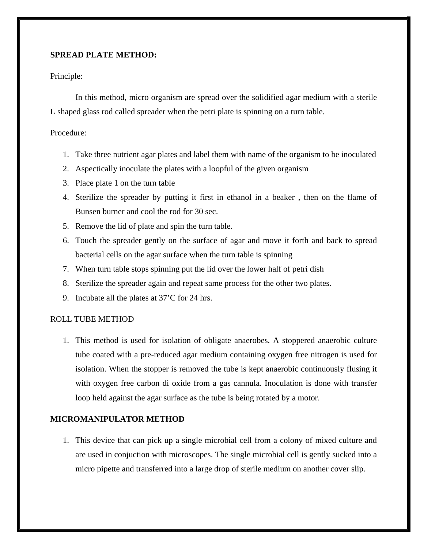#### **SPREAD PLATE METHOD:**

#### Principle:

In this method, micro organism are spread over the solidified agar medium with a sterile L shaped glass rod called spreader when the petri plate is spinning on a turn table.

#### Procedure:

- 1. Take three nutrient agar plates and label them with name of the organism to be inoculated
- 2. Aspectically inoculate the plates with a loopful of the given organism
- 3. Place plate 1 on the turn table
- 4. Sterilize the spreader by putting it first in ethanol in a beaker , then on the flame of Bunsen burner and cool the rod for 30 sec.
- 5. Remove the lid of plate and spin the turn table.
- 6. Touch the spreader gently on the surface of agar and move it forth and back to spread bacterial cells on the agar surface when the turn table is spinning
- 7. When turn table stops spinning put the lid over the lower half of petri dish
- 8. Sterilize the spreader again and repeat same process for the other two plates.
- 9. Incubate all the plates at 37'C for 24 hrs.

#### ROLL TUBE METHOD

1. This method is used for isolation of obligate anaerobes. A stoppered anaerobic culture tube coated with a pre-reduced agar medium containing oxygen free nitrogen is used for isolation. When the stopper is removed the tube is kept anaerobic continuously flusing it with oxygen free carbon di oxide from a gas cannula. Inoculation is done with transfer loop held against the agar surface as the tube is being rotated by a motor.

#### **MICROMANIPULATOR METHOD**

1. This device that can pick up a single microbial cell from a colony of mixed culture and are used in conjuction with microscopes. The single microbial cell is gently sucked into a micro pipette and transferred into a large drop of sterile medium on another cover slip.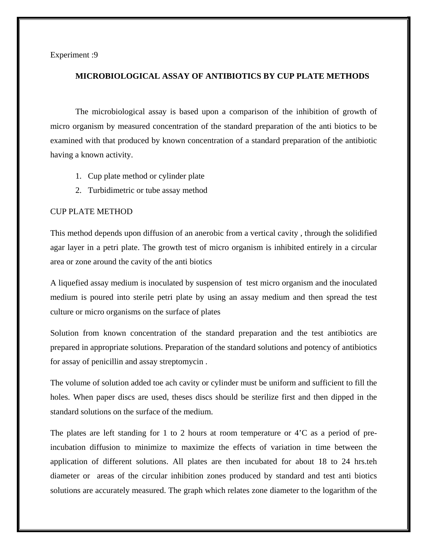Experiment :9

#### **MICROBIOLOGICAL ASSAY OF ANTIBIOTICS BY CUP PLATE METHODS**

The microbiological assay is based upon a comparison of the inhibition of growth of micro organism by measured concentration of the standard preparation of the anti biotics to be examined with that produced by known concentration of a standard preparation of the antibiotic having a known activity.

- 1. Cup plate method or cylinder plate
- 2. Turbidimetric or tube assay method

#### CUP PLATE METHOD

This method depends upon diffusion of an anerobic from a vertical cavity , through the solidified agar layer in a petri plate. The growth test of micro organism is inhibited entirely in a circular area or zone around the cavity of the anti biotics

A liquefied assay medium is inoculated by suspension of test micro organism and the inoculated medium is poured into sterile petri plate by using an assay medium and then spread the test culture or micro organisms on the surface of plates

Solution from known concentration of the standard preparation and the test antibiotics are prepared in appropriate solutions. Preparation of the standard solutions and potency of antibiotics for assay of penicillin and assay streptomycin .

The volume of solution added toe ach cavity or cylinder must be uniform and sufficient to fill the holes. When paper discs are used, theses discs should be sterilize first and then dipped in the standard solutions on the surface of the medium.

The plates are left standing for 1 to 2 hours at room temperature or 4'C as a period of preincubation diffusion to minimize to maximize the effects of variation in time between the application of different solutions. All plates are then incubated for about 18 to 24 hrs.teh diameter or areas of the circular inhibition zones produced by standard and test anti biotics solutions are accurately measured. The graph which relates zone diameter to the logarithm of the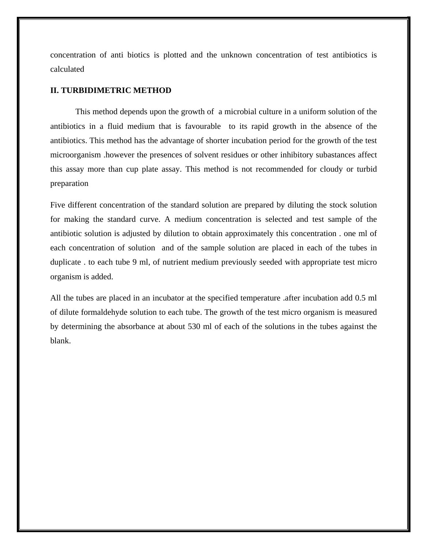concentration of anti biotics is plotted and the unknown concentration of test antibiotics is calculated

#### **II. TURBIDIMETRIC METHOD**

This method depends upon the growth of a microbial culture in a uniform solution of the antibiotics in a fluid medium that is favourable to its rapid growth in the absence of the antibiotics. This method has the advantage of shorter incubation period for the growth of the test microorganism .however the presences of solvent residues or other inhibitory subastances affect this assay more than cup plate assay. This method is not recommended for cloudy or turbid preparation

Five different concentration of the standard solution are prepared by diluting the stock solution for making the standard curve. A medium concentration is selected and test sample of the antibiotic solution is adjusted by dilution to obtain approximately this concentration . one ml of each concentration of solution and of the sample solution are placed in each of the tubes in duplicate . to each tube 9 ml, of nutrient medium previously seeded with appropriate test micro organism is added.

All the tubes are placed in an incubator at the specified temperature .after incubation add 0.5 ml of dilute formaldehyde solution to each tube. The growth of the test micro organism is measured by determining the absorbance at about 530 ml of each of the solutions in the tubes against the blank.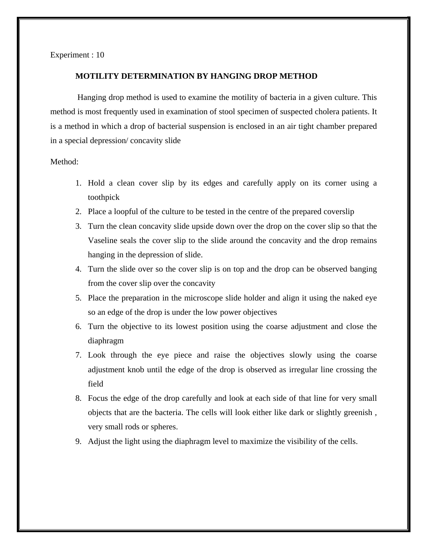Experiment : 10

#### **MOTILITY DETERMINATION BY HANGING DROP METHOD**

Hanging drop method is used to examine the motility of bacteria in a given culture. This method is most frequently used in examination of stool specimen of suspected cholera patients. It is a method in which a drop of bacterial suspension is enclosed in an air tight chamber prepared in a special depression/ concavity slide

#### Method:

- 1. Hold a clean cover slip by its edges and carefully apply on its corner using a toothpick
- 2. Place a loopful of the culture to be tested in the centre of the prepared coverslip
- 3. Turn the clean concavity slide upside down over the drop on the cover slip so that the Vaseline seals the cover slip to the slide around the concavity and the drop remains hanging in the depression of slide.
- 4. Turn the slide over so the cover slip is on top and the drop can be observed banging from the cover slip over the concavity
- 5. Place the preparation in the microscope slide holder and align it using the naked eye so an edge of the drop is under the low power objectives
- 6. Turn the objective to its lowest position using the coarse adjustment and close the diaphragm
- 7. Look through the eye piece and raise the objectives slowly using the coarse adjustment knob until the edge of the drop is observed as irregular line crossing the field
- 8. Focus the edge of the drop carefully and look at each side of that line for very small objects that are the bacteria. The cells will look either like dark or slightly greenish , very small rods or spheres.
- 9. Adjust the light using the diaphragm level to maximize the visibility of the cells.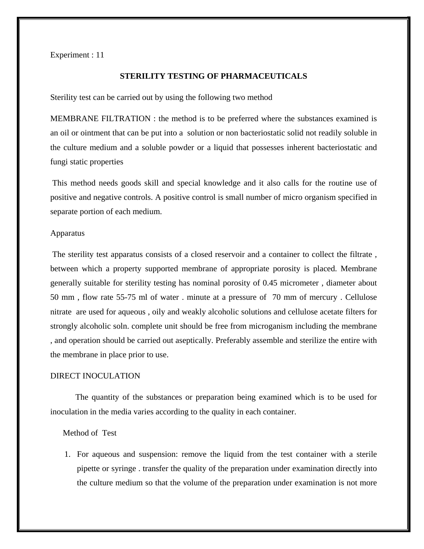Experiment : 11

#### **STERILITY TESTING OF PHARMACEUTICALS**

Sterility test can be carried out by using the following two method

MEMBRANE FILTRATION : the method is to be preferred where the substances examined is an oil or ointment that can be put into a solution or non bacteriostatic solid not readily soluble in the culture medium and a soluble powder or a liquid that possesses inherent bacteriostatic and fungi static properties

This method needs goods skill and special knowledge and it also calls for the routine use of positive and negative controls. A positive control is small number of micro organism specified in separate portion of each medium.

#### Apparatus

The sterility test apparatus consists of a closed reservoir and a container to collect the filtrate , between which a property supported membrane of appropriate porosity is placed. Membrane generally suitable for sterility testing has nominal porosity of 0.45 micrometer , diameter about 50 mm , flow rate 55-75 ml of water . minute at a pressure of 70 mm of mercury . Cellulose nitrate are used for aqueous , oily and weakly alcoholic solutions and cellulose acetate filters for strongly alcoholic soln. complete unit should be free from microganism including the membrane , and operation should be carried out aseptically. Preferably assemble and sterilize the entire with the membrane in place prior to use.

#### DIRECT INOCULATION

The quantity of the substances or preparation being examined which is to be used for inoculation in the media varies according to the quality in each container.

#### Method of Test

1. For aqueous and suspension: remove the liquid from the test container with a sterile pipette or syringe . transfer the quality of the preparation under examination directly into the culture medium so that the volume of the preparation under examination is not more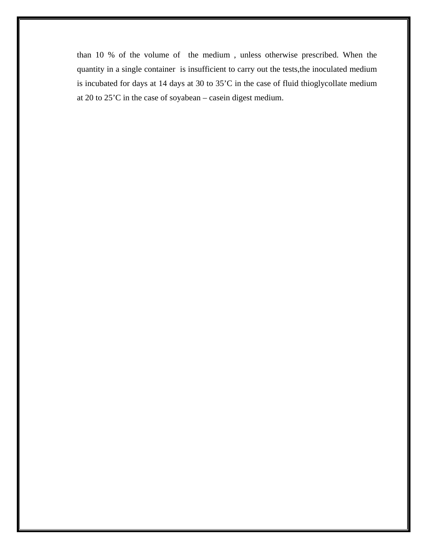than 10 % of the volume of the medium , unless otherwise prescribed. When the quantity in a single container is insufficient to carry out the tests,the inoculated medium is incubated for days at 14 days at 30 to 35'C in the case of fluid thioglycollate medium at 20 to 25'C in the case of soyabean – casein digest medium.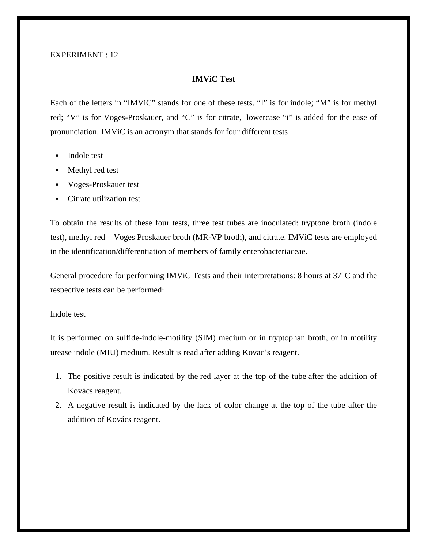#### EXPERIMENT : 12

#### **IMViC Test**

Each of the letters in "IMViC" stands for one of these tests. "I" is for indole; "M" is for methyl red; "V" is for Voges-Proskauer, and "C" is for citrate, lowercase "i" is added for the ease of pronunciation. IMViC is an acronym that stands for four different tests

- [Indole test](https://microbeonline.com/indole-test-principle-procedure-results/)
- [Methyl red test](https://microbeonline.com/methyl-red-mr-test-principle-procedure-results/)
- [Voges-Proskauer test](https://microbeonline.com/voges-proskauer-test-principle-procedure-results/)
- [Citrate utilization test](https://microbeonline.com/citrate-utilization-test-principle-procedure-expected-results-and-positive-organisms/)

To obtain the results of these four tests, three test tubes are inoculated: tryptone broth (indole test), methyl red – Voges Proskauer broth (MR-VP broth), and citrate. IMViC tests are employed in the identification/differentiation of members of family [enterobacteriaceae.](https://microbeonline.com/seven-common-characteristics-family-enterobacteriaceae/)

General procedure for performing IMViC Tests and their interpretations: 8 hours at 37°C and the respective tests can be performed:

#### [Indole test](https://microbeonline.com/indole-test-principle-procedure-results/)

It is performed on sulfide-indole-motility (SIM) medium or in tryptophan broth, or in motility urease indole (MIU) medium. Result is read after adding Kovac's reagent.

- 1. The positive result is indicated by the red layer at the top of the tube after the addition of Kovács reagent.
- 2. A negative result is indicated by the lack of color change at the top of the tube after the addition of Kovács reagent.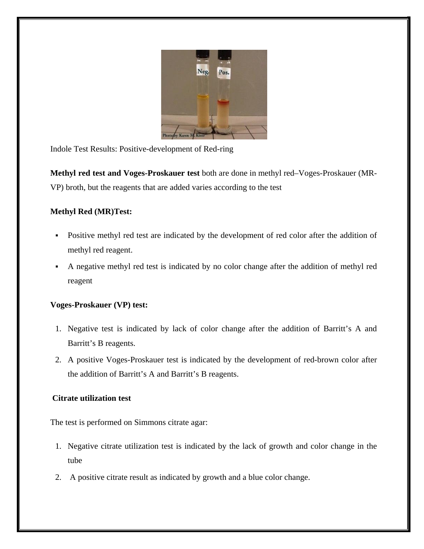

Indole Test Results: Positive-development of Red-ring

**Methyl red test and Voges-Proskauer test** both are done in methyl red–Voges-Proskauer (MR-VP) broth, but the reagents that are added varies according to the test

#### **[Methyl Red \(MR\)Test:](https://microbeonline.com/methyl-red-mr-test-principle-procedure-results/)**

- Positive methyl red test are indicated by the development of red color after the addition of methyl red reagent.
- A negative methyl red test is indicated by no color change after the addition of methyl red reagent

#### **[Voges-Proskauer \(VP\) test:](https://microbeonline.com/voges-proskauer-test-principle-procedure-results/)**

- 1. Negative test is indicated by lack of color change after the addition of Barritt's A and Barritt's B reagents.
- 2. A positive Voges-Proskauer test is indicated by the development of red-brown color after the addition of Barritt's A and Barritt's B reagents.

#### **[Citrate utilization test](https://microbeonline.com/citrate-utilization-test-principle-procedure-expected-results-and-positive-organisms/)**

The test is performed on Simmons citrate agar:

- 1. Negative citrate utilization test is indicated by the lack of growth and color change in the tube
- 2. A positive citrate result as indicated by growth and a blue color change.